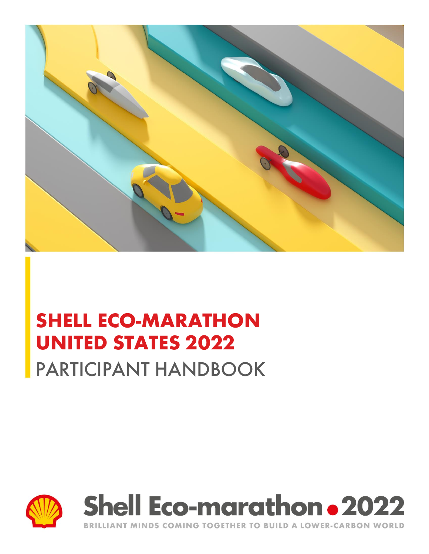





LLIANT MINDS COMING TOGETHER TO BUILD A LOWER-CARBON WORLD **RRI**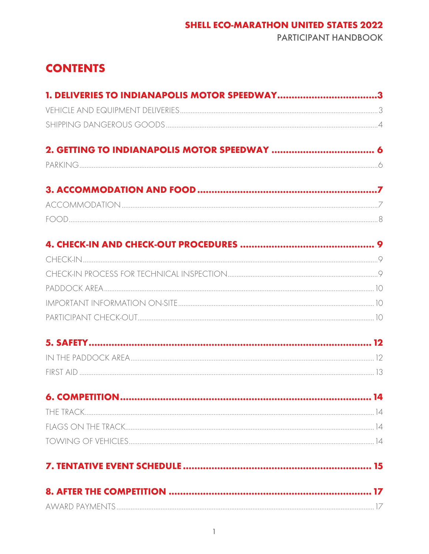# **SHELL ECO-MARATHON UNITED STATES 2022**

**PARTICIPANT HANDBOOK** 

# **CONTENTS**

| 1. DELIVERIES TO INDIANAPOLIS MOTOR SPEEDWAY3 |  |
|-----------------------------------------------|--|
|                                               |  |
|                                               |  |
|                                               |  |
|                                               |  |
|                                               |  |
|                                               |  |
|                                               |  |
|                                               |  |
|                                               |  |
|                                               |  |
|                                               |  |
|                                               |  |
|                                               |  |
|                                               |  |
|                                               |  |
|                                               |  |
|                                               |  |
|                                               |  |
|                                               |  |
|                                               |  |
|                                               |  |
|                                               |  |
|                                               |  |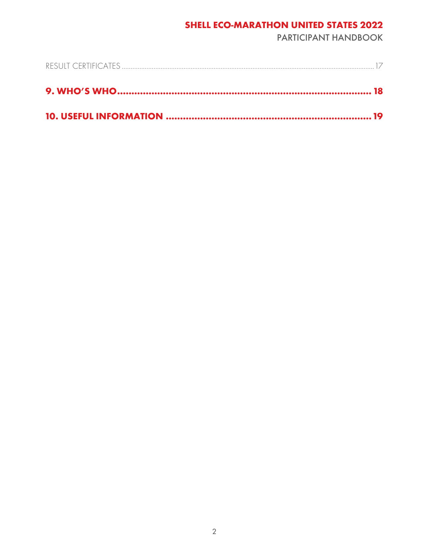### **SHELL ECO-MARATHON UNITED STATES 2022**

**PARTICIPANT HANDBOOK**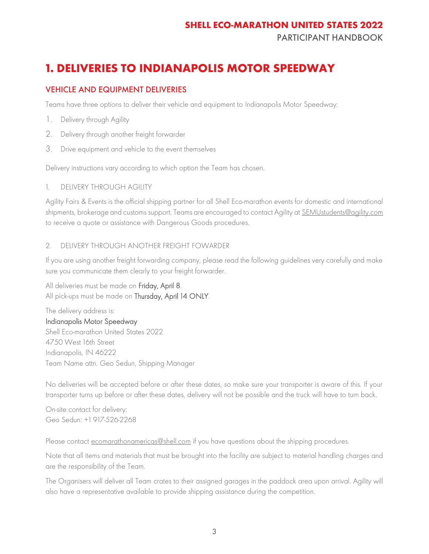PARTICIPANT HANDBOOK

# <span id="page-3-0"></span>**1. DELIVERIES TO INDIANAPOLIS MOTOR SPEEDWAY**

### <span id="page-3-1"></span>VEHICLE AND EQUIPMENT DELIVERIES

Teams have three options to deliver their vehicle and equipment to Indianapolis Motor Speedway:

- 1. Delivery through Agility
- 2. Delivery through another freight forwarder
- 3. Drive equipment and vehicle to the event themselves

Delivery instructions vary according to which option the Team has chosen.

#### 1. DELIVERY THROUGH AGILITY

Agility Fairs & Events is the official shipping partner for all Shell Eco-marathon events for domestic and international shipments, brokerage and customs support. Teams are encouraged to contact Agility at [SEMUstudents@agility.com](mailto:SEMUstudents@agility.com) to receive a quote or assistance with Dangerous Goods procedures.

#### 2. DELIVERY THROUGH ANOTHER FREIGHT FOWARDER

If you are using another freight forwarding company, please read the following guidelines very carefully and make sure you communicate them clearly to your freight forwarder.

All deliveries must be made on Friday, April 8. All pick-ups must be made on Thursday, April 14 ONLY.

The delivery address is: Indianapolis Motor Speedway Shell Eco-marathon United States 2022 4750 West 16th Street Indianapolis, IN 46222 Team Name attn. Geo Sedun, Shipping Manager

No deliveries will be accepted before or after these dates, so make sure your transporter is aware of this. If your transporter turns up before or after these dates, delivery will not be possible and the truck will have to turn back.

On-site contact for delivery: Geo Sedun: +1 917-526-2268

Please contact <u>ecomarathonamericas@shell.com</u> if you have questions about the shipping procedures.

Note that all items and materials that must be brought into the facility are subject to material handling charges and are the responsibility of the Team.

The Organisers will deliver all Team crates to their assigned garages in the paddock area upon arrival. Agility will also have a representative available to provide shipping assistance during the competition.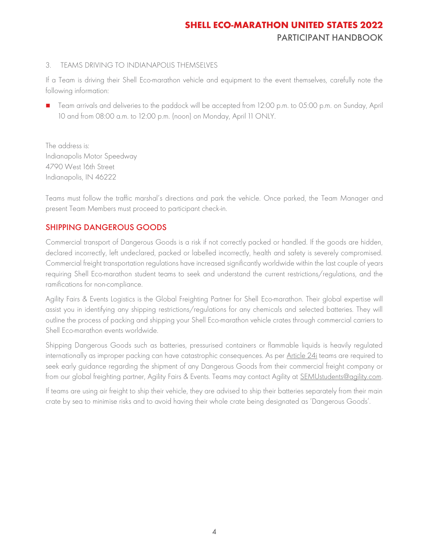#### 3. TEAMS DRIVING TO INDIANAPOLIS THEMSELVES

If a Team is driving their Shell Eco-marathon vehicle and equipment to the event themselves, carefully note the following information:

■ Team arrivals and deliveries to the paddock will be accepted from 12:00 p.m. to 05:00 p.m. on Sunday, April 10 and from 08:00 a.m. to 12:00 p.m. (noon) on Monday, April 11 ONLY.

The address is: Indianapolis Motor Speedway 4790 West 16th Street Indianapolis, IN 46222

Teams must follow the traffic marshal's directions and park the vehicle. Once parked, the Team Manager and present Team Members must proceed to participant check-in.

### <span id="page-4-0"></span>SHIPPING DANGEROUS GOODS

Commercial transport of Dangerous Goods is a risk if not correctly packed or handled. If the goods are hidden, declared incorrectly, left undeclared, packed or labelled incorrectly, health and safety is severely compromised. Commercial freight transportation regulations have increased significantly worldwide within the last couple of years requiring Shell Eco-marathon student teams to seek and understand the current restrictions/regulations, and the ramifications for non-compliance.

Agility Fairs & Events Logistics is the Global Freighting Partner for Shell Eco-marathon. Their global expertise will assist you in identifying any shipping restrictions/regulations for any chemicals and selected batteries. They will outline the process of packing and shipping your Shell Eco-marathon vehicle crates through commercial carriers to Shell Eco-marathon events worldwide.

Shipping Dangerous Goods such as batteries, pressurised containers or flammable liquids is heavily regulated internationally as improper packing can have catastrophic consequences. As per [Article 24i](https://base.makethefuture.shell/en_gb/service/api/home/shell-eco-marathon/global-rules/_jcr_content/root/content/document_listing/items/download_595134961.stream/1630485146156/38a7abe7331aaa24603d0e8b158565cc726ab78d/shell-eco-marathon-2022-official-rules-chapter-i.pdf) teams are required to seek early guidance regarding the shipment of any Dangerous Goods from their commercial freight company or from our global freighting partner, Agility Fairs & Events. Teams may contact Agility at SEMUstudents@agility.com.

If teams are using air freight to ship their vehicle, they are advised to ship their batteries separately from their main crate by sea to minimise risks and to avoid having their whole crate being designated as 'Dangerous Goods'.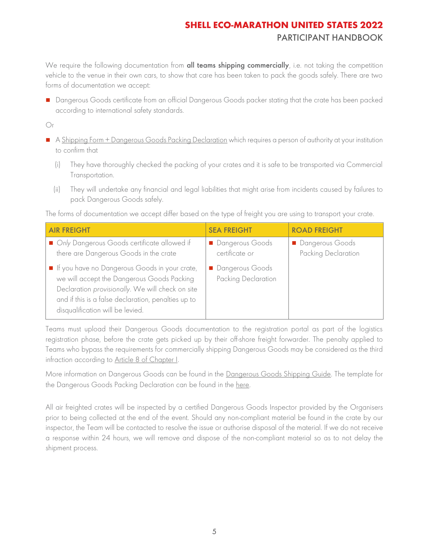We require the following documentation from all teams shipping commercially, i.e. not taking the competition vehicle to the venue in their own cars, to show that care has been taken to pack the goods safely. There are two forms of documentation we accept:

■ Dangerous Goods certificate from an official Dangerous Goods packer stating that the crate has been packed according to international safety standards.

Or

- A [Shipping Form + Dangerous Goods Packing Declaration](https://register.makethefuture.shell/content/dam/sem-aem/sem-2022/sem-usa-2022/SEM%20USA%202022%20-%20Shipping%20Form%20and%20DG%20Packing%20Declaration%20V3.pdf) which requires a person of authority at your institution to confirm that
	- (i) They have thoroughly checked the packing of your crates and it is safe to be transported via Commercial Transportation.
	- (ii) They will undertake any financial and legal liabilities that might arise from incidents caused by failures to pack Dangerous Goods safely.

The forms of documentation we accept differ based on the type of freight you are using to transport your crate.

| <b>AIR FREIGHT</b>                                                                                                                                                                                                                         | <b>SEA FREIGHT</b>                     | <b>ROAD FREIGHT</b>                    |
|--------------------------------------------------------------------------------------------------------------------------------------------------------------------------------------------------------------------------------------------|----------------------------------------|----------------------------------------|
| Only Dangerous Goods certificate allowed if<br>there are Dangerous Goods in the crate                                                                                                                                                      | Dangerous Goods<br>certificate or      | Dangerous Goods<br>Packing Declaration |
| If you have no Dangerous Goods in your crate,<br>we will accept the Dangerous Goods Packing<br>Declaration provisionally. We will check on site<br>and if this is a false declaration, penalties up to<br>disqualification will be levied. | Dangerous Goods<br>Packing Declaration |                                        |

Teams must upload their Dangerous Goods documentation to the registration portal as part of the logistics registration phase, before the crate gets picked up by their off-shore freight forwarder. The penalty applied to Teams who bypass the requirements for commercially shipping Dangerous Goods may be considered as the third infraction according to [Article 8 of Chapter I.](https://base.makethefuture.shell/en_gb/service/api/home/shell-eco-marathon/global-rules/_jcr_content/root/content/document_listing/items/download_595134961.stream/1630485146156/38a7abe7331aaa24603d0e8b158565cc726ab78d/shell-eco-marathon-2022-official-rules-chapter-i.pdf)

More information on Dangerous Goods can be found in the [Dangerous Goods Shipping Guide.](https://register.makethefuture.shell/content/dam/sem-aem/sem-2022/sem-usa-2022/Shell%20Eco-marathon%202022%20Dangerous%20Goods%20Guide.pdf) The template for the Dangerous Goods Packing Declaration can be found in the [here.](https://register.makethefuture.shell/content/dam/sem-aem/sem-2022/sem-usa-2022/SEM%20USA%202022%20-%20Shipping%20Form%20and%20DG%20Packing%20Declaration%20V3.pdf)

All air freighted crates will be inspected by a certified Dangerous Goods Inspector provided by the Organisers prior to being collected at the end of the event. Should any non-compliant material be found in the crate by our inspector, the Team will be contacted to resolve the issue or authorise disposal of the material. If we do not receive a response within 24 hours, we will remove and dispose of the non-compliant material so as to not delay the shipment process.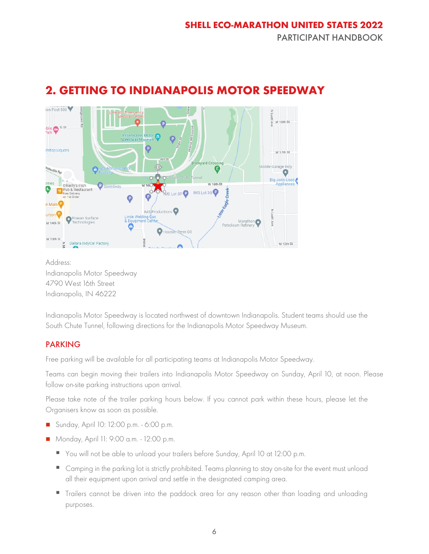# <span id="page-6-0"></span>**2. GETTING TO INDIANAPOLIS MOTOR SPEEDWAY**



Address: Indianapolis Motor Speedway 4790 West 16th Street Indianapolis, IN 46222

Indianapolis Motor Speedway is located northwest of downtown Indianapolis. Student teams should use the South Chute Tunnel, following directions for the Indianapolis Motor Speedway Museum.

### <span id="page-6-1"></span>PARKING

Free parking will be available for all participating teams at Indianapolis Motor Speedway.

Teams can begin moving their trailers into Indianapolis Motor Speedway on Sunday, April 10, at noon. Please follow on-site parking instructions upon arrival.

Please take note of the trailer parking hours below. If you cannot park within these hours, please let the Organisers know as soon as possible.

- Sunday, April 10: 12:00 p.m. 6:00 p.m.
- Monday, April 11: 9:00 a.m. 12:00 p.m.
	- You will not be able to unload your trailers before Sunday, April 10 at 12:00 p.m.
	- Camping in the parking lot is strictly prohibited. Teams planning to stay on-site for the event must unload all their equipment upon arrival and settle in the designated camping area.
	- **Trailers cannot be driven into the paddock area for any reason other than loading and unloading** purposes.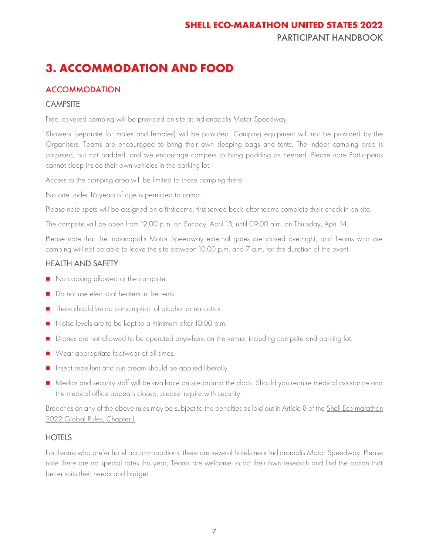# <span id="page-7-0"></span>**3. ACCOMMODATION AND FOOD**

### <span id="page-7-1"></span>**ACCOMMODATION**

#### **CAMPSITE**

Free, covered camping will be provided on-site at Indianapolis Motor Speedway.

Showers (separate for males and females) will be provided. Camping equipment will not be provided by the Organisers. Teams are encouraged to bring their own sleeping bags and tents. The indoor camping area is carpeted, but not padded, and we encourage campers to bring padding as needed. Please note Participants cannot sleep inside their own vehicles in the parking lot.

Access to the camping area will be limited to those camping there.

No one under 16 years of age is permitted to camp.

Please note spots will be assigned on a first-come, first-served basis after teams complete their check-in on site.

The campsite will be open from 12:00 p.m. on Sunday, April 13, until 09:00 a.m. on Thursday, April 14.

Please note that the Indianapolis Motor Speedway external gates are closed overnight, and Teams who are camping will not be able to leave the site between  $10:00$  p.m. and  $7$  a.m. for the duration of the event.

### HEALTH AND SAFETY

- No cooking allowed at the campsite.
- Do not use electrical heaters in the tents.
- There should be no consumption of alcohol or narcotics.
- Noise levels are to be kept to a minimum after 10:00 p.m.
- Drones are not allowed to be operated anywhere on the venue, including campsite and parking lot.
- Wear appropriate footwear at all times.
- Insect repellent and sun cream should be applied liberally.
- Medics and security staff will be available on site around the clock. Should you require medical assistance and the medical office appears closed, please inquire with security.

Breaches on any of the above rules may be subject to the penalties as laid out in Article 8 of the Shell Eco-marathon [2022 Global Rules, Chapter I.](https://base.makethefuture.shell/en_gb/service/api/home/shell-eco-marathon/global-rules/_jcr_content/root/content/document_listing/items/download_595134961.stream/1630485146156/38a7abe7331aaa24603d0e8b158565cc726ab78d/shell-eco-marathon-2022-official-rules-chapter-i.pdf)

#### **HOTELS**

<span id="page-7-2"></span>For Teams who prefer hotel accommodations, there are several hotels near Indianapolis Motor Speedway. Please note there are no special rates this year, Teams are welcome to do their own research and find the option that better suits their needs and budget.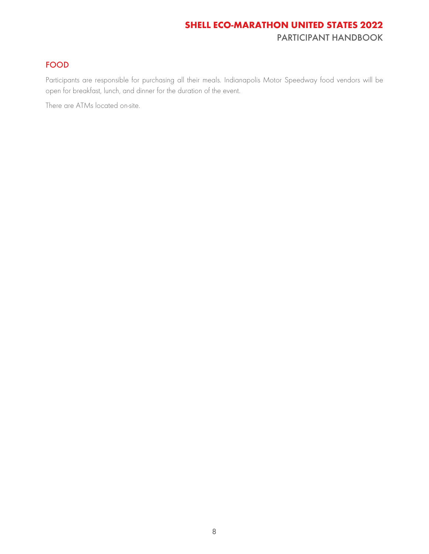### FOOD

Participants are responsible for purchasing all their meals. Indianapolis Motor Speedway food vendors will be open for breakfast, lunch, and dinner for the duration of the event.

<span id="page-8-0"></span>There are ATMs located on-site.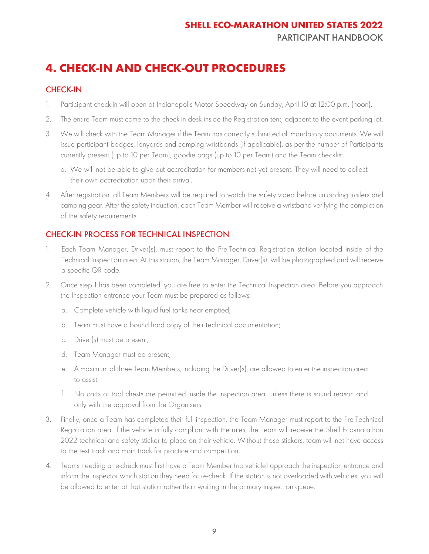# **4. CHECK-IN AND CHECK-OUT PROCEDURES**

### <span id="page-9-0"></span>CHECK-IN

- 1. Participant check-in will open at Indianapolis Motor Speedway on Sunday, April 10 at 12:00 p.m. (noon).
- 2. The entire Team must come to the check-in desk inside the Registration tent, adjacent to the event parking lot.
- 3. We will check with the Team Manager if the Team has correctly submitted all mandatory documents. We will issue participant badges, lanyards and camping wristbands (if applicable), as per the number of Participants currently present (up to 10 per Team), goodie bags (up to 10 per Team) and the Team checklist.
	- a. We will not be able to give out accreditation for members not yet present. They will need to collect their own accreditation upon their arrival.
- 4. After registration, all Team Members will be required to watch the safety video before unloading trailers and camping gear. After the safety induction, each Team Member will receive a wristband verifying the completion of the safety requirements.

### <span id="page-9-1"></span>CHECK-IN PROCESS FOR TECHNICAL INSPECTION

- 1. Each Team Manager, Driver(s), must report to the Pre-Technical Registration station located inside of the Technical Inspection area. At this station, the Team Manager, Driver(s), will be photographed and will receive a specific QR code.
- 2. Once step 1 has been completed, you are free to enter the Technical Inspection area. Before you approach the Inspection entrance your Team must be prepared as follows:
	- a. Complete vehicle with liquid fuel tanks near emptied;
	- b. Team must have a bound hard copy of their technical documentation;
	- c. Driver(s) must be present;
	- d. Team Manager must be present;
	- e. A maximum of three Team Members, including the Driver(s), are allowed to enter the inspection area to assist;
	- f. No carts or tool chests are permitted inside the inspection area, unless there is sound reason and only with the approval from the Organisers.
- 3. Finally, once a Team has completed their full inspection, the Team Manager must report to the Pre-Technical Registration area. If the vehicle is fully compliant with the rules, the Team will receive the Shell Eco-marathon 2022 technical and safety sticker to place on their vehicle. Without those stickers, team will not have access to the test track and main track for practice and competition.
- 4. Teams needing a re-check must first have a Team Member (no vehicle) approach the inspection entrance and inform the inspector which station they need for re-check. If the station is not overloaded with vehicles, you will be allowed to enter at that station rather than waiting in the primary inspection queue.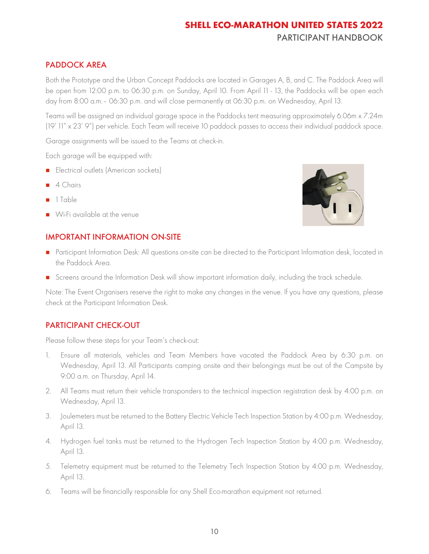### <span id="page-10-0"></span>PADDOCK AREA

Both the Prototype and the Urban Concept Paddocks are located in Garages A, B, and C. The Paddock Area will be open from 12:00 p.m. to 06:30 p.m. on Sunday, April 10. From April 11 - 13, the Paddocks will be open each day from 8:00 a.m.– 06:30 p.m. and will close permanently at 06:30 p.m. on Wednesday, April 13.

Teams will be assigned an individual garage space in the Paddocks tent measuring approximately 6.06m x 7.24m (19' 11" x 23' 9") per vehicle. Each Team will receive 10 paddock passes to access their individual paddock space.

Garage assignments will be issued to the Teams at check-in.

Each garage will be equipped with:

- Electrical outlets (American sockets)
- 4 Chairs
- 1 Table
- Wi-Fi available at the venue



### <span id="page-10-1"></span>IMPORTANT INFORMATION ON-SITE

- Participant Information Desk: All questions on-site can be directed to the Participant Information desk, located in the Paddock Area.
- Screens around the Information Desk will show important information daily, including the track schedule.

Note: The Event Organisers reserve the right to make any changes in the venue. If you have any questions, please check at the Participant Information Desk.

### <span id="page-10-2"></span>PARTICIPANT CHECK-OUT

Please follow these steps for your Team's check-out:

- 1. Ensure all materials, vehicles and Team Members have vacated the Paddock Area by 6:30 p.m. on Wednesday, April 13. All Participants camping onsite and their belongings must be out of the Campsite by 9:00 a.m. on Thursday, April 14.
- 2. All Teams must return their vehicle transponders to the technical inspection registration desk by 4:00 p.m. on Wednesday, April 13.
- 3. Joulemeters must be returned to the Battery Electric Vehicle Tech Inspection Station by 4:00 p.m. Wednesday, April 13.
- 4. Hydrogen fuel tanks must be returned to the Hydrogen Tech Inspection Station by 4:00 p.m. Wednesday, April 13.
- 5. Telemetry equipment must be returned to the Telemetry Tech Inspection Station by 4:00 p.m. Wednesday, April 13.
- 6. Teams will be financially responsible for any Shell Eco-marathon equipment not returned.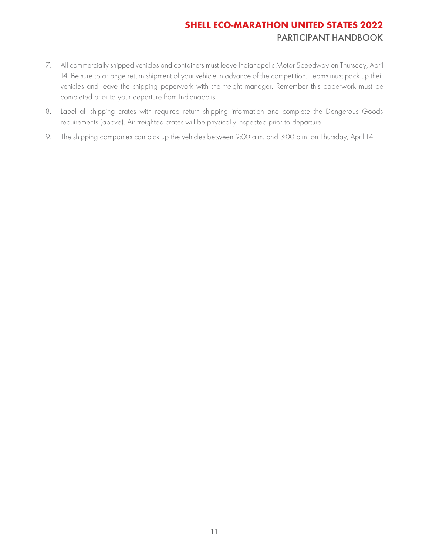- 7. All commercially shipped vehicles and containers must leave Indianapolis Motor Speedway on Thursday, April 14. Be sure to arrange return shipment of your vehicle in advance of the competition. Teams must pack up their vehicles and leave the shipping paperwork with the freight manager. Remember this paperwork must be completed prior to your departure from Indianapolis.
- 8. Label all shipping crates with required return shipping information and complete the Dangerous Goods requirements (above). Air freighted crates will be physically inspected prior to departure.
- 9. The shipping companies can pick up the vehicles between 9:00 a.m. and 3:00 p.m. on Thursday, April 14.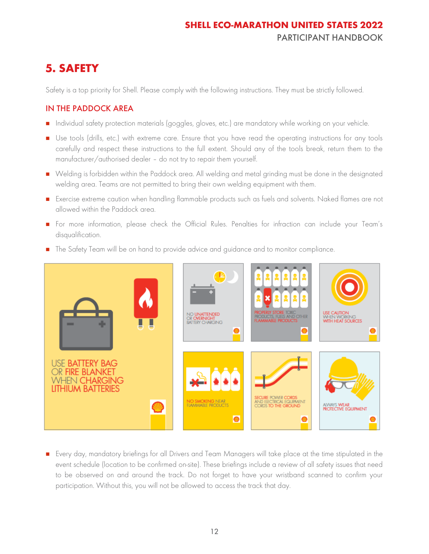# <span id="page-12-0"></span>**5. SAFETY**

Safety is a top priority for Shell. Please comply with the following instructions. They must be strictly followed.

### <span id="page-12-1"></span>IN THE PADDOCK AREA

- Individual safety protection materials (goggles, gloves, etc.) are mandatory while working on your vehicle.
- Use tools (drills, etc.) with extreme care. Ensure that you have read the operating instructions for any tools carefully and respect these instructions to the full extent. Should any of the tools break, return them to the manufacturer/authorised dealer – do not try to repair them yourself.
- Welding is forbidden within the Paddock area. All welding and metal grinding must be done in the designated welding area. Teams are not permitted to bring their own welding equipment with them.
- Exercise extreme caution when handling flammable products such as fuels and solvents. Naked flames are not allowed within the Paddock area.
- For more information, please check the Official Rules. Penalties for infraction can include your Team's disqualification.
- Р NO UNATTENDED USE CAUTION<br>WHEN WORKING<br>WITH HEAT SOUR( OR **OVERNIGHT**<br>RATTERY CHARGING **USE BATTERY BAG FIRE BLANKET WHEN CHARGING LITHIUM BATTERIES** NO SMOKING NEAR<br>FLAMMABLE PRODUCTS CTRICAL EQUIPMENT ALVVAYS WEAR<br>PROTECTIVE EQUIPMENT  $\bullet$
- The Safety Team will be on hand to provide advice and guidance and to monitor compliance.

■ Every day, mandatory briefings for all Drivers and Team Managers will take place at the time stipulated in the event schedule (location to be confirmed on-site). These briefings include a review of all safety issues that need to be observed on and around the track. Do not forget to have your wristband scanned to confirm your participation. Without this, you will not be allowed to access the track that day.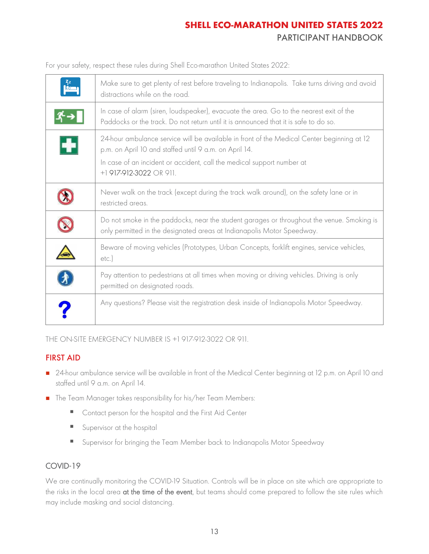For your safety, respect these rules during Shell Eco-marathon United States 2022:

| $\begin{bmatrix} 2z \\ 2z \\ 2z \end{bmatrix}$ | Make sure to get plenty of rest before traveling to Indianapolis. Take turns driving and avoid<br>distractions while on the road.                                                                                                                         |
|------------------------------------------------|-----------------------------------------------------------------------------------------------------------------------------------------------------------------------------------------------------------------------------------------------------------|
|                                                | In case of alarm (siren, loudspeaker), evacuate the area. Go to the nearest exit of the<br>Paddocks or the track. Do not return until it is announced that it is safe to do so.                                                                           |
| H                                              | 24-hour ambulance service will be available in front of the Medical Center beginning at 12<br>p.m. on April 10 and staffed until 9 a.m. on April 14.<br>In case of an incident or accident, call the medical support number at<br>+1 917-912-3022 OR 911. |
|                                                | Never walk on the track (except during the track walk around), on the safety lane or in<br>restricted areas.                                                                                                                                              |
|                                                | Do not smoke in the paddocks, near the student garages or throughout the venue. Smoking is<br>only permitted in the designated areas at Indianapolis Motor Speedway.                                                                                      |
|                                                | Beware of moving vehicles (Prototypes, Urban Concepts, forklift engines, service vehicles,<br>etc.                                                                                                                                                        |
|                                                | Pay attention to pedestrians at all times when moving or driving vehicles. Driving is only<br>permitted on designated roads.                                                                                                                              |
|                                                | Any questions? Please visit the registration desk inside of Indianapolis Motor Speedway.                                                                                                                                                                  |

THE ON-SITE EMERGENCY NUMBER IS +1 917-912-3022 OR 911.

### <span id="page-13-0"></span>FIRST AID

- 24-hour ambulance service will be available in front of the Medical Center beginning at 12 p.m. on April 10 and staffed until 9 a.m. on April 14.
- The Team Manager takes responsibility for his/her Team Members:
	- Contact person for the hospital and the First Aid Center
	- **E** Supervisor at the hospital
	- Supervisor for bringing the Team Member back to Indianapolis Motor Speedway

### COVID-19

We are continually monitoring the COVID-19 Situation. Controls will be in place on site which are appropriate to the risks in the local area at the time of the event, but teams should come prepared to follow the site rules which may include masking and social distancing.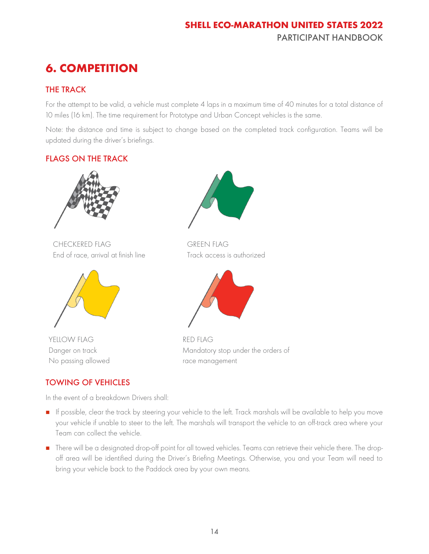# <span id="page-14-0"></span>**6. COMPETITION**

### <span id="page-14-1"></span>THE TRACK

For the attempt to be valid, a vehicle must complete 4 laps in a maximum time of 40 minutes for a total distance of 10 miles (16 km). The time requirement for Prototype and Urban Concept vehicles is the same.

Note: the distance and time is subject to change based on the completed track configuration. Teams will be updated during the driver's briefings.

### <span id="page-14-2"></span>FLAGS ON THE TRACK



CHECKERED FLAG End of race, arrival at finish line



YELLOW FLAG Danger on track No passing allowed

### <span id="page-14-3"></span>TOWING OF VEHICLES

In the event of a breakdown Drivers shall:



GREEN FLAG Track access is authorized



RED FLAG Mandatory stop under the orders of race management

- If possible, clear the track by steering your vehicle to the left. Track marshals will be available to help you move your vehicle if unable to steer to the left. The marshals will transport the vehicle to an off-track area where your Team can collect the vehicle.
- There will be a designated drop-off point for all towed vehicles. Teams can retrieve their vehicle there. The dropoff area will be identified during the Driver's Briefing Meetings. Otherwise, you and your Team will need to bring your vehicle back to the Paddock area by your own means.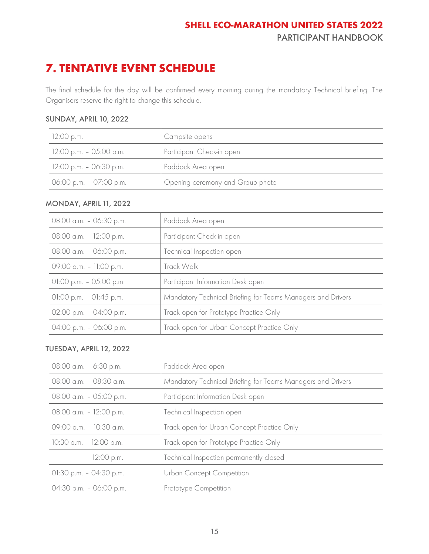# <span id="page-15-0"></span>**7. TENTATIVE EVENT SCHEDULE**

The final schedule for the day will be confirmed every morning during the mandatory Technical briefing. The Organisers reserve the right to change this schedule.

#### SUNDAY, APRIL 10, 2022

| $12:00$ p.m.              | Campsite opens                   |
|---------------------------|----------------------------------|
| $12:00$ p.m. - 05:00 p.m. | Participant Check-in open        |
| $12:00$ p.m. - 06:30 p.m. | Paddock Area open                |
| $06:00$ p.m. - 07:00 p.m. | Opening ceremony and Group photo |

#### MONDAY, APRIL 11, 2022

| 08:00 a.m. - 06:30 p.m.    | Paddock Area open                                           |
|----------------------------|-------------------------------------------------------------|
| 08:00 a.m. - 12:00 p.m.    | Participant Check-in open                                   |
| 08:00 a.m. - 06:00 p.m.    | Technical Inspection open                                   |
| 09:00 a.m. - 11:00 p.m.    | Track Walk                                                  |
| $01:00$ p.m. $-05:00$ p.m. | Participant Information Desk open                           |
| $01:00$ p.m. $-01:45$ p.m. | Mandatory Technical Briefing for Teams Managers and Drivers |
| 02:00 p.m. - 04:00 p.m.    | Track open for Prototype Practice Only                      |
| 04:00 p.m. - 06:00 p.m.    | Track open for Urban Concept Practice Only                  |

#### TUESDAY, APRIL 12, 2022

| 08:00 a.m. - 6:30 p.m.     | Paddock Area open                                           |
|----------------------------|-------------------------------------------------------------|
| 08:00 a.m. - 08:30 a.m.    | Mandatory Technical Briefing for Teams Managers and Drivers |
| 08:00 a.m. - 05:00 p.m.    | Participant Information Desk open                           |
| 08:00 a.m. - 12:00 p.m.    | Technical Inspection open                                   |
| 09:00 a.m. - 10:30 a.m.    | Track open for Urban Concept Practice Only                  |
| 10:30 a.m. - 12:00 p.m.    | Track open for Prototype Practice Only                      |
| 12:00 p.m.                 | Technical Inspection permanently closed                     |
| $01:30$ p.m. $-04:30$ p.m. | Urban Concept Competition                                   |
| 04:30 p.m. - 06:00 p.m.    | Prototype Competition                                       |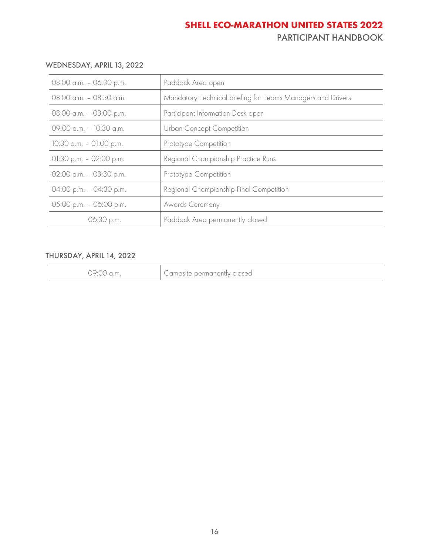#### WEDNESDAY, APRIL 13, 2022

| 08:00 a.m. - 06:30 p.m.    | Paddock Area open                                           |
|----------------------------|-------------------------------------------------------------|
| 08:00 a.m. - 08:30 a.m.    | Mandatory Technical briefing for Teams Managers and Drivers |
| 08:00 a.m. - 03:00 p.m.    | Participant Information Desk open                           |
| 09:00 a.m. - 10:30 a.m.    | Urban Concept Competition                                   |
| 10:30 a.m. - 01:00 p.m.    | Prototype Competition                                       |
| $01:30$ p.m. $-02:00$ p.m. | Regional Championship Practice Runs                         |
| 02:00 p.m. - 03:30 p.m.    | Prototype Competition                                       |
| 04:00 p.m. - 04:30 p.m.    | Regional Championship Final Competition                     |
| 05:00 p.m. - 06:00 p.m.    | Awards Ceremony                                             |
| 06:30 p.m.                 | Paddock Area permanently closed                             |

#### THURSDAY, APRIL 14, 2022

| 79:00<br>.a.m | Campsite permanently closed |
|---------------|-----------------------------|
|---------------|-----------------------------|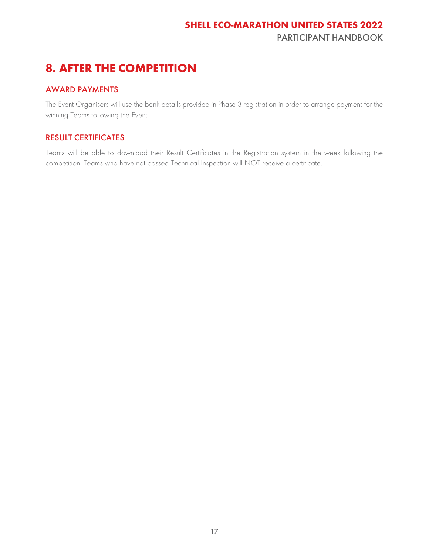# <span id="page-17-0"></span>**8. AFTER THE COMPETITION**

### <span id="page-17-1"></span>AWARD PAYMENTS

The Event Organisers will use the bank details provided in Phase 3 registration in order to arrange payment for the winning Teams following the Event.

### <span id="page-17-2"></span>RESULT CERTIFICATES

Teams will be able to download their Result Certificates in the [Registration system](http://www.shell.com/energy-and-innovation/shell-ecomarathon/for-participants/team-registration.html) in the week following the competition. Teams who have not passed Technical Inspection will NOT receive a certificate.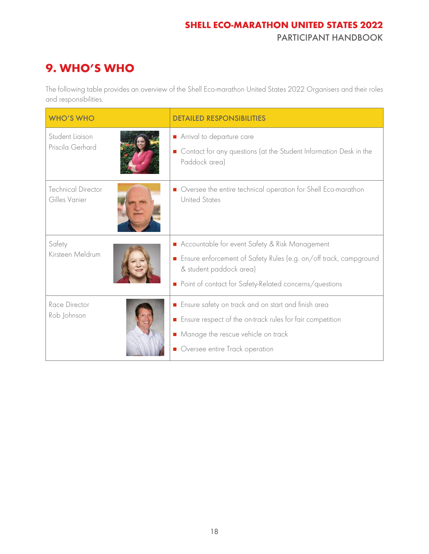# <span id="page-18-0"></span>**9. WHO'S WHO**

The following table provides an overview of the Shell Eco-marathon United States 2022 Organisers and their roles and responsibilities.

| <b>WHO'S WHO</b>                           | <b>DETAILED RESPONSIBILITIES</b>                                                                                                                                                                           |
|--------------------------------------------|------------------------------------------------------------------------------------------------------------------------------------------------------------------------------------------------------------|
| Student Ligison<br>Priscila Gerhard        | Arrival to departure care<br>Contact for any questions (at the Student Information Desk in the<br>Paddock area)                                                                                            |
| <b>Technical Director</b><br>Gilles Vanier | Oversee the entire technical operation for Shell Eco-marathon<br><b>United States</b>                                                                                                                      |
| Safety<br>Kirsteen Meldrum                 | Accountable for event Safety & Risk Management<br>Ensure enforcement of Safety Rules (e.g. on/off track, campground<br>& student paddock area)<br>• Point of contact for Safety-Related concerns/questions |
| Race Director<br>Rob Johnson               | Ensure safety on track and on start and finish area<br>Ensure respect of the on-track rules for fair competition<br>• Manage the rescue vehicle on track<br>• Oversee entire Track operation               |